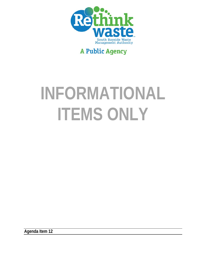

# **A Public Agency**

# **INFORMATIONAL ITEMS ONLY**

**Agenda Item 12**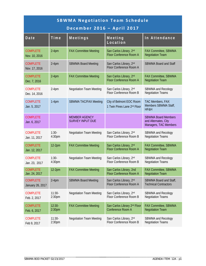| <b>SBWMA Negotiation Team Schedule</b><br>December 2016 - April 2017 |                                |                                                 |                                                               |                                                                             |  |  |  |  |
|----------------------------------------------------------------------|--------------------------------|-------------------------------------------------|---------------------------------------------------------------|-----------------------------------------------------------------------------|--|--|--|--|
| Date                                                                 | Time                           | Meetings                                        | Meeting<br>Location                                           | In Attendance                                                               |  |  |  |  |
| <b>COMPLETE</b><br>Nov. 10, 2016                                     | $2-4$ pm                       | <b>FAX Committee Meeting</b>                    | San Carlos Library, 2nd<br><b>Floor Conference Room A</b>     | <b>FAX Committee, SBWMA</b><br><b>Negotiation Team</b>                      |  |  |  |  |
| <b>COMPLETE</b><br>Nov. 17, 2016                                     | $2-4$ pm                       | <b>SBWMA Board Meeting</b>                      | San Carlos Library, 2nd<br>Floor Conference Room A            | <b>SBWMA Board and Staff</b>                                                |  |  |  |  |
| <b>COMPLETE</b><br>Dec. 7, 2016                                      | $2-4$ pm                       | <b>FAX Committee Meeting</b>                    | San Carlos Library, 2nd<br><b>Floor Conference Room A</b>     | <b>FAX Committee, SBWMA</b><br><b>Negotiation Team</b>                      |  |  |  |  |
| <b>COMPLETE</b><br>Dec. 14, 2016                                     | $2-4$ pm                       | <b>Negotiation Team Meeting</b>                 | San Carlos Library, 2nd<br>Floor Conference Room B            | SBWMA and Recology<br><b>Negotiation Teams</b>                              |  |  |  |  |
| <b>COMPLETE</b><br>Jan. 5, 2017                                      | $1-4$ pm                       | <b>SBWMA TAC/FAX Meeting</b>                    | City of Belmont EOC Room<br>1 Twin Pines Lane 2nd Floor       | TAC Members, FAX<br>Members SBWMA Staff,<br>HF&H                            |  |  |  |  |
| <b>COMPLETE</b><br>Jan. 6, 2017                                      |                                | <b>MEMBER AGENCY</b><br><b>SURVEY INPUT DUE</b> |                                                               | <b>SBWMA Board Members</b><br>and Alternates, City<br>Managers, TAC Members |  |  |  |  |
| <b>COMPLETE</b><br>Jan. 11, 2017                                     | $1:30-$<br>4:30pm              | <b>Negotiation Team Meeting</b>                 | San Carlos Library, 2nd<br>Floor Conference Room B            | SBWMA and Recology<br><b>Negotiation Teams</b>                              |  |  |  |  |
| <b>COMPLETE</b><br>Jan. 12, 2017                                     | $12-2pm$                       | <b>FAX Committee Meeting</b>                    | San Carlos Library, 2nd<br><b>Floor Conference Room A</b>     | FAX Committee, SBWMA<br><b>Negotiation Team</b>                             |  |  |  |  |
| <b>COMPLETE</b><br>Jan. 23, 2017                                     | $1:30-$<br>4:30pm              | <b>Negotiation Team Meeting</b>                 | San Carlos Library, 2nd<br>Floor Conference Room B            | SBWMA and Recology<br><b>Negotiation Teams</b>                              |  |  |  |  |
| <b>COMPLETE</b><br>Jan. 24, 2017                                     | $12-2pm$                       | <b>FAX Committee Meeting</b>                    | San Carlos Library, 2nd<br><b>Floor Conference Room A</b>     | FAX Committee, SBWMA<br><b>Negotiation Team</b>                             |  |  |  |  |
| <b>COMPLETE</b><br>January 26, 2017                                  | $2-4$ pm                       | <b>SBWMA Board Meeting</b>                      | San Carlos Library, 2nd<br>Floor Conference Room A            | SBWMA Board and Staff,<br><b>Technical Contractors</b>                      |  |  |  |  |
| <b>COMPLETE</b><br>Feb. 2, 2017                                      | $11:30-$<br>2:30 <sub>pm</sub> | <b>Negotiation Team Meeting</b>                 | San Carlos Library, 2nd<br>Floor Conference Room B            | SBWMA and Recology<br><b>Negotiation Teams</b>                              |  |  |  |  |
| <b>COMPLETE</b><br>Feb. 6, 2017                                      | $12:30-$<br>2:30 <sub>pm</sub> | <b>FAX Committee Meeting</b>                    | San Carlos Library 2 <sup>nd</sup> Floor<br>Conference Room A | FAX Committee, SBWMA<br><b>Negotiation Team</b>                             |  |  |  |  |
| <b>COMPLETE</b><br>Feb 9, 2017                                       | $11:30-$<br>2:30 <sub>pm</sub> | <b>Negotiation Team Meeting</b>                 | San Carlos Library, 2nd<br>Floor Conference Room B            | SBWMA and Recology<br><b>Negotiation Teams</b>                              |  |  |  |  |

\_\_\_\_\_\_\_\_\_\_\_\_\_\_\_\_\_\_\_\_\_\_\_\_\_\_\_\_\_\_\_\_\_\_\_\_\_\_\_\_\_\_\_\_\_\_\_\_\_\_\_\_\_\_\_\_

\_\_\_\_\_\_\_\_\_\_\_\_\_\_\_\_\_\_\_\_\_\_\_\_\_\_\_\_\_\_\_\_\_\_\_\_\_ \_\_\_\_\_\_\_\_\_\_\_\_\_\_\_\_\_\_\_\_\_\_\_\_\_\_\_\_\_\_\_\_\_\_\_\_\_\_\_\_\_\_\_\_\_\_\_\_\_\_\_\_\_\_\_\_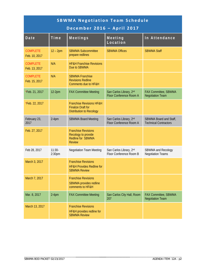|                                  | <b>SBWMA Negotiation Team Schedule</b><br>December 2016 - April 2017 |                                                                                                     |                                                    |                                                        |  |  |  |  |  |
|----------------------------------|----------------------------------------------------------------------|-----------------------------------------------------------------------------------------------------|----------------------------------------------------|--------------------------------------------------------|--|--|--|--|--|
| Date                             | Time                                                                 | Meetings                                                                                            | Meeting<br>Location                                | In Attendance                                          |  |  |  |  |  |
| <b>COMPLETE</b><br>Feb. 10, 2017 | $12 - 2pm$                                                           | <b>SBWMA Subcommittee</b><br>prepare redlines                                                       | <b>SBWMA Offices</b>                               | <b>SBWMA Staff</b>                                     |  |  |  |  |  |
| <b>COMPLETE</b><br>Feb. 13, 2017 | N/A                                                                  | <b>HF&amp;H Franchise Revisions</b><br>Due to SBWMA                                                 |                                                    |                                                        |  |  |  |  |  |
| <b>COMPLETE</b><br>Feb. 15, 2017 | N/A                                                                  | <b>SBWMA Franchise</b><br><b>Revisions Redline</b><br><b>Comments due to HF&amp;H</b>               |                                                    |                                                        |  |  |  |  |  |
| *Feb. 21, 2017                   | $12-2pm$                                                             | <b>FAX Committee Meeting</b>                                                                        | San Carlos Library, 2nd<br>Floor Conference Room A | FAX Committee, SBWMA<br><b>Negotiation Team</b>        |  |  |  |  |  |
| *Feb. 22, 2017                   |                                                                      | <b>Franchise Revisions HF&amp;H</b><br><b>Finalize Draft for</b><br><b>Distribution to Recology</b> |                                                    |                                                        |  |  |  |  |  |
| February 23,<br>2017             | $2-4$ pm                                                             | <b>SBWMA Board Meeting</b>                                                                          | San Carlos Library, 2nd<br>Floor Conference Room A | SBWMA Board and Staff,<br><b>Technical Contractors</b> |  |  |  |  |  |
| Feb. 27, 2017                    |                                                                      | <b>Franchise Revisions</b><br>Recology to provide<br><b>Redline for SBWMA</b><br><b>Review</b>      |                                                    |                                                        |  |  |  |  |  |
| Feb 28, 2017                     | $11:30-$<br>2:30 <sub>pm</sub>                                       | <b>Negotiation Team Meeting</b>                                                                     | San Carlos Library, 2nd<br>Floor Conference Room B | SBWMA and Recology<br><b>Negotiation Teams</b>         |  |  |  |  |  |
| March 3, 2017                    |                                                                      | <b>Franchise Revisions</b><br><b>HF&amp;H Provides Redline for</b><br><b>SBWMA Review</b>           |                                                    |                                                        |  |  |  |  |  |
| March 7, 2017                    |                                                                      | <b>Franchise Revisions</b><br>SBWMA provides redline<br>comments to HF&H                            |                                                    |                                                        |  |  |  |  |  |
| Mar. 8, 2017                     | $2-4$ pm                                                             | <b>FAX Committee Meeting</b>                                                                        | San Carlos City Hall, Room<br>207                  | FAX Committee, SBWMA<br><b>Negotiation Team</b>        |  |  |  |  |  |
| March 13, 2017                   |                                                                      | <b>Franchise Revisions</b><br>HF&H provides redline for<br><b>SBWMA Review</b>                      |                                                    |                                                        |  |  |  |  |  |

\_\_\_\_\_\_\_\_\_\_\_\_\_\_\_\_\_\_\_\_\_\_\_\_\_\_\_\_\_\_\_\_\_\_\_\_\_\_\_\_\_\_\_\_\_\_\_\_\_\_\_\_\_\_\_\_

\_\_\_\_\_\_\_\_\_\_\_\_\_\_\_\_\_\_\_\_\_\_\_\_\_\_\_\_\_\_\_\_\_\_\_\_\_ \_\_\_\_\_\_\_\_\_\_\_\_\_\_\_\_\_\_\_\_\_\_\_\_\_\_\_\_\_\_\_\_\_\_\_\_\_\_\_\_\_\_\_\_\_\_\_\_\_\_\_\_\_\_\_\_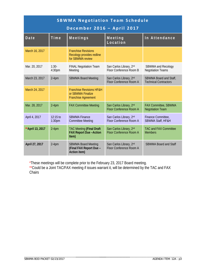|                   | <b>SBWMA Negotiation Team Schedule</b><br>December 2016 - April 2017 |                                                                                        |                                                           |                                                        |  |  |  |  |  |
|-------------------|----------------------------------------------------------------------|----------------------------------------------------------------------------------------|-----------------------------------------------------------|--------------------------------------------------------|--|--|--|--|--|
| Date              | Time                                                                 | Meetings                                                                               | Meeting<br>Location                                       | In Attendance                                          |  |  |  |  |  |
| March 16, 2017    |                                                                      | <b>Franchise Revisions</b><br>Recology provides redline<br>for SBWMA review            |                                                           |                                                        |  |  |  |  |  |
| Mar. 20, 2017     | $1:30-$<br>4:30pm                                                    | <b>FINAL Negotiation Team</b><br>Meeting                                               | San Carlos Library, 2nd<br>Floor Conference Room B        | SBWMA and Recology<br><b>Negotiation Teams</b>         |  |  |  |  |  |
| March 23, 2017    | $2-4$ pm                                                             | <b>SBWMA Board Meeting</b>                                                             | San Carlos Library, 2nd<br>Floor Conference Room A        | SBWMA Board and Staff,<br><b>Technical Contractors</b> |  |  |  |  |  |
| March 24, 2017    |                                                                      | <b>Franchise Revisions HF&amp;H</b><br>or SBWMA Finalize<br><b>Franchise Agreement</b> |                                                           |                                                        |  |  |  |  |  |
| Mar. 28, 2017     | $2-4$ pm                                                             | <b>FAX Committee Meeting</b>                                                           | San Carlos Library, 2nd<br><b>Floor Conference Room A</b> | <b>FAX Committee, SBWMA</b><br><b>Negotiation Team</b> |  |  |  |  |  |
| April 4, 2017     | 12:15 to<br>1:30 <sub>pm</sub>                                       | <b>SBWMA Finance</b><br><b>Committee Meeting</b>                                       | San Carlos Library, 2nd<br>Floor Conference Room A        | Finance Committee,<br>SBWMA Staff, HF&H                |  |  |  |  |  |
| ** April 13, 2017 | $2-4$ pm                                                             | <b>TAC Meeting (Final Draft</b><br><b>FAX Report Due-Action</b><br>Item)               | San Carlos Library, 2nd<br>Floor Conference Room A        | <b>TAC and FAX Committee</b><br><b>Members</b>         |  |  |  |  |  |
| April 27, 2017    | $2-4$ pm                                                             | <b>SBWMA Board Meeting</b><br>(Final FAX Report Due -<br>Action item)                  | San Carlos Library, 2nd<br>Floor Conference Room A        | <b>SBWMA Board and Staff</b>                           |  |  |  |  |  |

\*These meetings will be complete prior to the February 23, 2017 Board meeting.

\*\*Could be a Joint TAC/FAX meeting if issues warrant it, will be determined by the TAC and FAX Chairs

\_\_\_\_\_\_\_\_\_\_\_\_\_\_\_\_\_\_\_\_\_\_\_\_\_\_\_\_\_\_\_\_\_\_\_\_\_\_\_\_\_\_\_\_\_\_\_\_\_\_\_\_\_\_\_\_

\_\_\_\_\_\_\_\_\_\_\_\_\_\_\_\_\_\_\_\_\_\_\_\_\_\_\_\_\_\_\_\_\_\_\_\_\_ \_\_\_\_\_\_\_\_\_\_\_\_\_\_\_\_\_\_\_\_\_\_\_\_\_\_\_\_\_\_\_\_\_\_\_\_\_\_\_\_\_\_\_\_\_\_\_\_\_\_\_\_\_\_\_\_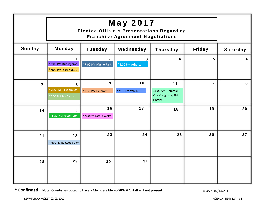|                | <b>Elected Officials Presentations Regarding</b>                                 |                                       |                                              |                                                            |    |    |
|----------------|----------------------------------------------------------------------------------|---------------------------------------|----------------------------------------------|------------------------------------------------------------|----|----|
| <b>Sunday</b>  | <b>Monday</b><br><b>Tuesday</b><br>Wednesday<br><b>Friday</b><br><b>Thursday</b> |                                       |                                              |                                                            |    |    |
|                | 1<br>*7:00 PM Burlingame<br>*7:00 PM San Mateo                                   | $\overline{2}$<br>*7:00 PM Menlo Park | $\overline{\mathbf{3}}$<br>*4:00 PM Atherton | 4                                                          | 5  | 6  |
| $\overline{7}$ | 8<br>*6:00 PM Hillsborough<br>*7:00 PM San Carlos                                | 9<br>*7:30 PM Belmont                 | 10<br>*7:00 PM WBSD                          | 11<br>11:00 AM (Internal)<br>City Mangers at SM<br>Library | 12 | 13 |
| 14             | 15<br>*6:30 PM Foster City                                                       | 16<br>*7:30 PM East Palo Alto         | 17                                           | 18                                                         | 19 | 20 |
| 21             | 22<br>*7:00 PM Redwood City                                                      | 23                                    | 24                                           | 25                                                         | 26 | 27 |
| 28             | 29                                                                               | 30                                    | 31                                           |                                                            |    |    |

**\* Confirmed Note: County has opted to have a Members Memo SBWMA staff will not present** 

Revised: 02/14/2017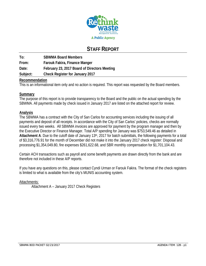

## **STAFF REPORT**

**To: SBWMA Board Members From: Farouk Fakira, Finance Manger Date: February 23, 2017 Board of Directors Meeting Subject: Check Register for January 2017** 

#### **Recommendation**

This is an informational item only and no action is required. This report was requested by the Board members.

#### **Summary**

The purpose of this report is to provide transparency to the Board and the public on the actual spending by the SBWMA. All payments made by check issued in January 2017 are listed on the attached report for review.

#### **Analysis**

The SBWMA has a contract with the City of San Carlos for accounting services including the issuing of all payments and deposit of all receipts. In accordance with the City of San Carlos' policies, checks are normally issued every two weeks. All SBWMA invoices are approved for payment by the program manager and then by the Executive Director or Finance Manager. Total A/P spending for January was \$753,549.46 as detailed in **Attachment A**. Due to the cutoff date of January 13th, 2017 for batch submittals, the following payments for a total of \$3,316,776.91 for the month of December did not make it into the January 2017 check register: Disposal and processing \$1,354,049.80, fire expenses \$261,622.68, and SBR monthly compensation for \$1,701,104.43.

Certain ACH transactions such as payroll and some benefit payments are drawn directly from the bank and are therefore not included in these A/P reports.

If you have any questions on this, please contact Cyndi Urman or Farouk Fakira. The format of the check registers is limited to what is available from the city's MUNIS accounting system.

#### Attachments:

Attachment A – January 2017 Check Registers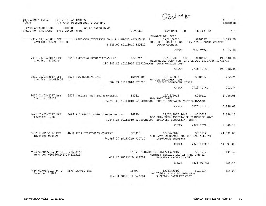| 01/05/2017 15:02<br>Ichen                             | <b>CITY OF SAN CARLOS</b><br>A/P CASH DISBURSEMENTS JOURNAL |                           |                                     |                                                                                                                           |             | P<br>ı<br>apcshdsb |
|-------------------------------------------------------|-------------------------------------------------------------|---------------------------|-------------------------------------|---------------------------------------------------------------------------------------------------------------------------|-------------|--------------------|
| CASH ACCOUNT: S000<br>CHECK NO CHK DATE               | 110020<br><b>WELLS FARGO BANK</b><br>TYPE VENDOR NAME       |                           | INVOICE                             | <b>INV DATE</b><br>PO                                                                                                     | CHECK RUN   | <b>NET</b>         |
| 7417 01/05/2017 EFT<br>Invoice: 432260-SB. R.         | 3 AARONSON DICKERSON COHN & LANZONE 432260-SB. R            | 4,125,00 S0113010 520312  |                                     | INVOICE DTL DESC<br>12/20/2016<br>DEC 2016 PROFESSIONAL SERVICES - BOARD COUNSEL<br><b>BOARD COUNSEL</b>                  | S010517     | 4,125.00           |
|                                                       |                                                             |                           |                                     | CHECK                                                                                                                     | 7417 TOTAL: | 4.125.00           |
| 7418 01/05/2017 EFT<br>Invoice: 17292PF               | 5058 EMERGING ACQUISITIONS LLC                              |                           | 17292PF                             | 12/19/2016 1031<br>MECHANICAL WORK FOR FIRE DEMAGE 11/27/16-12/11/16<br>190,148.88 S0113010 522720MRFES CONSTRUCTION COST | S010517     | 190, 148, 88       |
|                                                       |                                                             |                           |                                     | <b>CHECK</b>                                                                                                              | 7418 TOTAL: | 190, 148.88        |
| 7419 01/05/2017 EFT<br>Invoice: INV499406             | 7624 KBA DOCUSYS INC.                                       |                           | INV499406<br>202.74 S0113010 520215 | 12/19/2016<br>OFFICE EQUIPMENT COST<br>OFFICE EQUIPMENT COSTS                                                             | S010517     | 202.74             |
|                                                       |                                                             | $\gamma$                  |                                     | <b>CHECK</b>                                                                                                              | 7419 TOTAL: | 202.74             |
| 7420 01/05/2017 EFT<br>Invoice: 18211                 | 6809 PRECISE PRINTING & MAILING                             |                           | 18211                               | 12/16/2016<br>HHW POST CARDS<br>6,756.08 S0113010 520604HHWUW PUBLIC EDUCATION/OUTREACH/WORK                              | S010517     | 6,756.08           |
|                                                       |                                                             |                           |                                     | CHECK                                                                                                                     | 7420 TOTAL: | 6,756.08           |
| 7421 01/05/2017 EFT<br>Invoice: 16889                 | 3473 R J PROTO CONSULTING GROUP INC                         |                           | 16889                               | 01/02/2017 1045<br>DEC 2016 TECH ASSISTANCE FRANCHISE AGMT<br>5,346.16 S0113010 520309HCS02 BUSINESS CONSULTANT (HFH)     | S010517     | 5,346.16           |
|                                                       |                                                             |                           |                                     | <b>CHECK</b>                                                                                                              | 7421 TOTAL: | 5,346.16           |
| 7422 01/05/2017 EFT<br>Invoice: 928399                | 4688 RISK STRATEGIES COMPANY                                | 44,899.00 S0113010 520710 | 928399                              | 10/06/2016<br>SHOREWAY INSURANCE 3RD ORT INSTALLMENT<br>INSURANCE SHOREWAY                                                | S010517     | 44,899.00          |
|                                                       |                                                             |                           |                                     | <b>CHECK</b>                                                                                                              | 7422 TOTAL: | 44,899.00          |
| 7423 01/05/2017 PRTD<br>Invoice: 6505967146704-121316 | 776 AT&T                                                    |                           | 435.47 S0113010 522714              | 6505967146704-12131612/13/2016<br>MONTHLY SERVICE DEC 13 THRU JAN 12<br>SHOREWAY FACILITY COST                            | S010517     | 435.47             |
|                                                       |                                                             |                           |                                     | <b>CHECK</b>                                                                                                              | 7423 TOTAL: | 435.47             |
| 7424 01/05/2017 PRTD                                  | 5875 SCAPES INC                                             |                           | 16899                               | 12/31/2016<br>$-22$                                                                                                       | S010517     | 315.00             |

7424 01/ Invoice: 16899 DEC 2016 MONTHLY MAINTENANCE 315.00 S0113010 522714 SHOREWAY FACILITY COST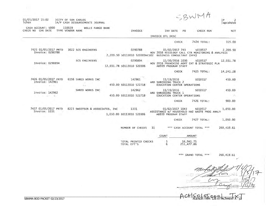| SBWMA |  |
|-------|--|
|       |  |

01/05/2017 15:02 CITY OF SAN CARLOS |A/P CASH DISBURSEMENTS JOURNAL lchen

110020 WELLS FARGO BANK CASH ACCOUNT: S000 CHECK NO CHK DATE TYPE VENDOR NAME INVOICE INV DATE PO CHECK RUN **NET** INVOICE DTL DESC CHECK 7424 TOTAL: 315.00 7425 01/05/2017 PRTD 3022 SCS ENGINEERS 0290788 01/02/2017 743 2,209.50 S010517 Invoice: 0290788 NOV 2016 RECOLOGY CALL CTR MONITORING & ANALYSIS 2,209.50 S0113010 520309HCS02 BUSINESS CONSULTANT (HFH) **SCS ENGINEERS** 0290894 11/30/2016 1030 S010517 12,031.78 Invoice: 0290894 NOV 2016 FRANCHISE AGMT EXT & STRATEGIC PLN 12,031.78 50113010 520306 AB939 PROGRAM STAFF CHECK 7425 TOTAL: 14, 241. 28 7426 01/05/2017 PRTD 6156 SHRED WORKS INC 142961 11/19/2016 S010517 450.00 ARD SHREDDING TRUCK 2 Invoice: 142961 32 450.00 S0113010 522718 EDUCATION CENTER OPERATIONS  $-1$  $\tau_{\rm acc}$ SHRED WORKS INC 142962 11/19/2016 S010517 450.00 Invoice: 142962 ARD SHREDDING TRUCK 1 450.00 50113010 522718  $\mathcal{L} = \mathcal{L} \mathcal{L} \mathcal{L} \mathcal{L} \mathcal{L} \mathcal{L} \mathcal{L} \mathcal{L} \mathcal{L} \mathcal{L} \mathcal{L} \mathcal{L} \mathcal{L} \mathcal{L} \mathcal{L} \mathcal{L} \mathcal{L} \mathcal{L} \mathcal{L} \mathcal{L} \mathcal{L} \mathcal{L} \mathcal{L} \mathcal{L} \mathcal{L} \mathcal{L} \mathcal{L} \mathcal{L} \mathcal{L} \mathcal{L} \mathcal{L} \mathcal{L} \mathcal{L} \mathcal{L} \mathcal{L} \mathcal$ EDUCATION CENTER OPERATIONS Sec. 18  $\sim X_{\rm K}$ CHECK 7426 TOTAL: 900.00 7427 01/05/2017 PRTD 8223 SWEETSER & ASSOCIATES, INC 1331 01/02/2017 1043 S010517 1,050.00 Invoice: 1331 ASSISTANCE W/ HOUSEHOLD HAZ WASTE PROG ANALY 1,050.00 S0113010 520306 AB939 PROGRAM STAFF CHECK 7427 TOTAL: 1,050.00 NUMBER OF CHECKS 11 \*\*\* CASH ACCOUNT TOTAL \*\*\* 268,419.61 COUNT AMOUNT TOTAL PRINTED CHECKS 16, 941.75 5

TOTAL EFT'S

\*\*\* GRAND TOTAL \*\*\* 268,419.61

l D

apcshdsb

 $\overline{z}$ 

251, 477.86

6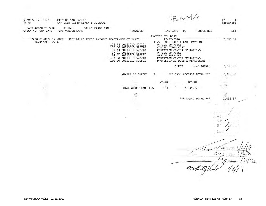| 01/05/2017 16:23<br><b>Ichen</b>        | <b>CITY OF SAN CARLOS</b><br> A/P CASH DISBURSEMENTS JOURNAL |                                                                                                                                                                                  |                                                                                                                                                                                                                              |                 |                            | P<br>$\mathbf{I}$<br>apcshdsb |
|-----------------------------------------|--------------------------------------------------------------|----------------------------------------------------------------------------------------------------------------------------------------------------------------------------------|------------------------------------------------------------------------------------------------------------------------------------------------------------------------------------------------------------------------------|-----------------|----------------------------|-------------------------------|
| CASH ACCOUNT: S000<br>CHECK NO CHK DATE | 110020<br>WELLS FARGO BANK<br>TYPE VENDOR NAME               | INVOICE                                                                                                                                                                          | INV DATE                                                                                                                                                                                                                     | PO.             | CHECK RUN                  | <b>NET</b>                    |
|                                         |                                                              |                                                                                                                                                                                  | INVOICE DTL DESC                                                                                                                                                                                                             |                 |                            |                               |
| 7428 01/06/2017 WIRE<br>Invoice: 122716 | 3622 WELLS FARGO PAYMENT REMITTANCE CT 122716                | 103.74 50113010 520201<br>157.00 S0113010 522720<br>9.43 S0113010 522718<br>97.01 S0113010 520201<br>14.41 S0113010 520201<br>1,493.78 S0113010 522718<br>160.00 S0113010 520501 | 12/27/2016<br>DEC 27, 2016 CREDIT CARD PAYMENT<br>OFFICE SUPPLIES<br>CONSTRUCTION COST<br>EDUCATION CENTER OPERATIONS<br>OFFICE SUPPLIES<br>OFFICE SUPPLIES<br>EDUCATION CENTER OPERATIONS<br>PROFESSIONAL DUES & MEMEBERSHS |                 |                            | 2,035.37                      |
|                                         |                                                              |                                                                                                                                                                                  |                                                                                                                                                                                                                              | CHECK           | 7428 TOTAL:                | 2,035.37                      |
|                                         |                                                              | NUMBER OF CHECKS                                                                                                                                                                 | $\mathbf{1}$                                                                                                                                                                                                                 |                 | *** CASH ACCOUNT TOTAL *** | 2,035.37                      |
|                                         | ÷                                                            |                                                                                                                                                                                  | COUNT                                                                                                                                                                                                                        |                 | AMOUNT                     | $-11$                         |
|                                         |                                                              | TOTAL WIRE TRANSFERS                                                                                                                                                             | $\cdot \cdot 1$                                                                                                                                                                                                              | 2,035.37        |                            |                               |
|                                         |                                                              |                                                                                                                                                                                  |                                                                                                                                                                                                                              |                 |                            | 正                             |
|                                         |                                                              | $\ddot{ }$                                                                                                                                                                       |                                                                                                                                                                                                                              | *** GRAND TOTAL | ***                        | 2,035.37                      |
|                                         |                                                              |                                                                                                                                                                                  |                                                                                                                                                                                                                              |                 |                            |                               |
|                                         |                                                              |                                                                                                                                                                                  |                                                                                                                                                                                                                              |                 |                            |                               |
|                                         |                                                              |                                                                                                                                                                                  |                                                                                                                                                                                                                              |                 |                            | CP<br>$A - F$<br>Esta H       |
|                                         |                                                              |                                                                                                                                                                                  |                                                                                                                                                                                                                              |                 |                            |                               |

 $\epsilon$  $\overline{\mathcal{C}^{\gamma}}$  $\mathscr{D}_{l}$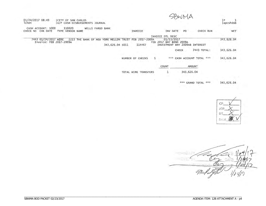| 01/24/2017 08:49<br><b>1chen</b>                | <b>CITY OF SAN CARLOS</b>  | A/P CASH DISBURSEMENTS JOURNAL |                                      |                             |              |                                                                         |                    |                 | P<br>apcshdsb |
|-------------------------------------------------|----------------------------|--------------------------------|--------------------------------------|-----------------------------|--------------|-------------------------------------------------------------------------|--------------------|-----------------|---------------|
| CASH ACCOUNT: S000<br>CHK DATE<br>CHECK NO      | 110020<br>TYPE VENDOR NAME | WELLS FARGO BANK               |                                      | INVOICE                     |              | INV DATE                                                                | P <sub>O</sub>     | CHECK RUN       | <b>NET</b>    |
|                                                 |                            |                                |                                      |                             |              | INVOICE DTL DESC                                                        |                    |                 |               |
| 7443 01/24/2017 WIRE<br>Invoice: FEB 2017-2009A | 2223                       | THE BANK OF NEW                | YORK MELLON TRUST<br>343,626.04 SO11 | 2017-2009A<br>FEB<br>114467 |              | 01/23/2017<br>FEB 2017 BNY BOND 2009A<br>INVESTMENT BNY 2009AB INTEREST |                    |                 | 343,626.04    |
|                                                 |                            |                                |                                      |                             |              |                                                                         | CHECK              | 7443 TOTAL:     | 343, 626.04   |
|                                                 |                            |                                |                                      | NUMBER OF CHECKS            | $\mathbf{1}$ | ***                                                                     | CASH ACCOUNT TOTAL | ***             | 343,626.04    |
|                                                 |                            |                                |                                      |                             |              | COUNT                                                                   |                    | AMOUNT          |               |
|                                                 |                            |                                |                                      | TOTAL WIRE TRANSFERS        |              |                                                                         | 343,626.04         |                 |               |
|                                                 |                            |                                |                                      |                             |              |                                                                         | ***                | GRAND TOTAL *** | 343,626,04    |

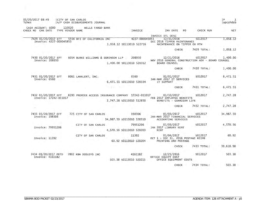| 01/20/2017 08:49<br>lchen                                                 | <b>ICITY OF SAN CARLOS</b> | IA/P CASH DISBURSEMENTS JOURNAL           |                           |                |                                                                                                                                             |                                                              | P <br>$\mathbf{I}$<br>apcshdsb |
|---------------------------------------------------------------------------|----------------------------|-------------------------------------------|---------------------------|----------------|---------------------------------------------------------------------------------------------------------------------------------------------|--------------------------------------------------------------|--------------------------------|
| CASH ACCOUNT: S000 110020 WELLS FARGO BANK<br>CHECK NO CHK DATE           | TYPE VENDOR NAME           |                                           |                           | INVOICE        | INV DATE                                                                                                                                    | CHECK RUN<br>PO                                              | <b>NET</b>                     |
| 7429 01/20/2017 EFT 5556 BFI OF CALIFORNIA INC<br>Invoice: 4227-000045853 |                            |                                           | 1,058.12 50113010 522716  | 4227-000045853 | INVOICE DTL DESC<br>12/31/2016<br>DEC 2016 TIPPER MAINTENANCE<br>MAINTENANCE ON TIPPER OX MTN                                               | S012017                                                      | 1,058.12                       |
|                                                                           |                            |                                           |                           |                | <b>CHECK</b>                                                                                                                                | 7429 TOTAL:                                                  | 1,058.12                       |
| 7430 01/20/2017 EFT<br>Invoice: 208950                                    |                            | 6054 BURKE WILLIAMS & SORENSEN LLP 208950 | 1,400.00 50113010 520312  |                | 12/21/2016<br><b>BOARD COUNSEL</b>                                                                                                          | S012017<br>NOV 2016 GENERAL CONSTRUCTION ADV - BOARD COUNSEL | 1,400.00                       |
|                                                                           |                            |                                           |                           |                | CHECK                                                                                                                                       | 7430 TOTAL:                                                  | 1,400.00                       |
| 7431 01/20/2017 EFT<br>Invoice: 0560                                      |                            | 8061 LANALERT, INC.                       | 6,471.51 S0113010 520334  | 0560           | 01/01/2017<br>JAN-MAR 2017 IT SERVICES<br>IT SUPPORT                                                                                        | S012017                                                      | 6,471.51                       |
|                                                                           |                            |                                           |                           |                | <b>CHECK</b>                                                                                                                                | 7431 TOTAL:                                                  | 6,471.51                       |
| Invoice: 17242-011017                                                     |                            | $\sim$                                    | 2,747.28 S0113010 512850  |                | 7432 01/20/2017 EFT 8293 PREMIER ACCESS INSURANCE COMPANY 17242-011017 01/10/2017<br>FEB 2017 EMPLOYEE BENEFITS<br>BENEFITS - GUARDIAN LIFE | S012017                                                      | 2,747.28                       |
|                                                                           |                            |                                           |                           |                | <b>CHECK</b>                                                                                                                                | 7432 TOTAL:                                                  | 2,747.28                       |
| 7433 01/20/2017 EFT<br>Invoice: 198306                                    |                            | 725 CITY OF SAN CARLOS                    | 34,987.50 S0113010 520310 | 198306         | 01/03/2017<br>JAN-MAR 2017 FINANCIAL SERVICES<br>ACCOUNTING SERVICES                                                                        | \$012017                                                     | 34,987.50                      |
| Invoice: 79951206                                                         |                            | CITY OF SAN CARLOS                        | 4,570.56 S0113010 520203  | 79951206       | 01/03/2017<br>JAN 2017 LIBRARY RENT<br><b>RENT</b>                                                                                          | S012017                                                      | 4.570.56                       |
| Invoice: 11392                                                            |                            | CITY OF SAN CARLOS                        | 60.92 S0113010 520204     | 11392          | OCT 1 - DEC 31, 2016 POSTAGE REIMB<br>PRINTING AND POSTAGE                                                                                  | 01/04/2017 S012017                                           | 60.92                          |
|                                                                           |                            |                                           |                           |                | <b>CHECK</b>                                                                                                                                | 7433 TOTAL:                                                  | 39,618.98                      |
| 7434 01/20/2017 PRTD<br>Invoice: 4161182                                  |                            | 7802 KBA DOSUSYS INC                      | 503.38 S0113010 520215    | 4161182        | 12/25/2016<br>OFFICE EQUIPT COST<br>OFFICE EQUIPMENT COSTS                                                                                  | S012017                                                      | 503.38                         |
|                                                                           |                            |                                           |                           |                | <b>CHECK</b>                                                                                                                                | 7434 TOTAL:                                                  | 503.38                         |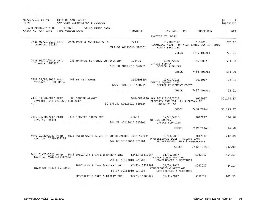| 01/20/2017 08:49<br>Ichen                                                                    |        | <b>CITY OF SAN CARLOS</b><br>A/P CASH DISBURSEMENTS JOURNAL |                                                                              |                                                                                    |                                                        | P<br>2<br>apcshdsb    |
|----------------------------------------------------------------------------------------------|--------|-------------------------------------------------------------|------------------------------------------------------------------------------|------------------------------------------------------------------------------------|--------------------------------------------------------|-----------------------|
| CASH ACCOUNT: S000<br>CHECK NO CHK DATE<br>TYPE VENDOR NAME                                  | 110020 | <b>WELLS FARGO BANK</b>                                     | INVOICE                                                                      | INV DATE                                                                           | PO<br>CHECK RUN                                        | <b>NET</b>            |
|                                                                                              |        |                                                             |                                                                              | INVOICE DTL DESC                                                                   |                                                        |                       |
| 7435 01/20/2017 PRTD<br>Invoice: 22133                                                       |        | 2426 MAZE & ASSOCIATES INC                                  | 22133<br>775.00 S0113010 520301                                              | 01/10/2017<br>AUDIT SERVICES                                                       | S012017<br>FINANCIAL AUDIT FOR YEAR ENDED JUN 30, 2016 | 775.00                |
|                                                                                              |        |                                                             |                                                                              | CHECK                                                                              | 7435 TOTAL:                                            | 775.00                |
| 7436 01/20/2017 PRTD<br>Invoice: 103426                                                      |        | 233 NATURAL SETTINGS CORPORATION                            | 103426<br>531.00 S0113010 520201                                             | 01/01/2017<br>OFFICE SUPPLY<br>OFFICE SUPPLIES                                     | S012017                                                | 531.00                |
|                                                                                              |        |                                                             |                                                                              | CHECK                                                                              | 7436 TOTAL:                                            | 531.00                |
| 7437 01/20/2017 PRTD<br>Invoice: 3100898504<br>$\mathcal{L}^{\mathcal{F}}$ , $\mathcal{L}$ , |        | 449 PITNEY BOWES                                            | 3100898504<br>12.91 S0113010 520215                                          | 12/31/2016<br>OFFICE EQUIPT COST<br>OFFICE EQUIPMENT COSTS                         | S012017                                                | 12.91                 |
|                                                                                              |        |                                                             |                                                                              | <b>CHECK</b>                                                                       | 7437 TOTAL:                                            | 12.91                 |
| 7438 01/20/2017 PRTD<br>Invoice: 046-081-820 FEB 2017<br>5331<br>Service State               |        | 680 SANDIE ARNOTT                                           | 30,175.37 S0113010 520324                                                    | 046-081-820 FEB 201712/31/2016<br>PROPERTY TAX FOR 333 SHOREWAY RD<br>PROPERTY TAX | 5012017                                                | $11 -$<br>30, 175. 37 |
|                                                                                              |        |                                                             | <b>CONTRACTOR</b>                                                            | CHECK                                                                              | 7438 TOTAL:                                            | 30, 175.37            |
| 7439 01/20/2017 PRTD<br>Invoice: 48658                                                       |        | 3334 SERVICE PRESS INC                                      | 48658<br>344.58 S0113010 520201                                              | 12/23/2016<br>OFFICE SUPPLY<br>OFFICE SUPPLIES                                     | S012017                                                | 344.58                |
|                                                                                              |        |                                                             |                                                                              | <b>CHECK</b>                                                                       | 7439 TOTAL:                                            | 344.58                |
| 7440 01/20/2017 PRTD<br>Invoice: 2018-807184                                                 |        |                                                             | 5625 SOLID WASTE ASSOC OF NORTH AMERIC 2018-807184<br>242.00 S0113010 520501 | 12/01/2016<br>PROFESSIONAL DUES - HILARY GANS<br>PROFESSIONAL DUES & MEMEBERSHS    | 5012017                                                | 242.00                |
|                                                                                              |        |                                                             |                                                                              | CHECK                                                                              | 7440 TOTAL:                                            | 242.00                |
| 7441 01/20/2017 PRTD 5443 SPECIALTY'S CAFE & BAKERY INC<br>Invoice: T2423-15317054           |        |                                                             | T2423-15317054<br>554.60 S0113010 520503                                     | 01/05/2017<br>TAC/FAX LUNCH MEETING<br>CONFERENCES & MEETINGS                      | S012017                                                | 554.60                |
| Invoice: T2423-15328891                                                                      |        | SPECIALTY'S CAFE & BAKERY INC                               | T2423-15328891<br>84.17 S0113010 520503                                      | 01/04/2017<br>CONFERENCES & MEETINGS<br>CONFERENCES & MEETINGS                     | S012017                                                | 84.17                 |
|                                                                                              |        | SPECIALTY'S CAFE & BAKERY INC                               | T2423-15383827                                                               | 01/11/2017                                                                         | S012017                                                | 105.50                |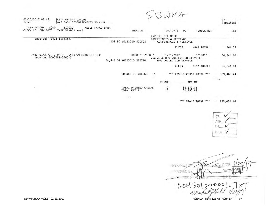$|P|$  $\overline{3}$ lapcshdsb

01/20/2017 08:49 **CITY OF SAN CARLOS** 1<sub>chen</sub> A/P CASH DISBURSEMENTS JOURNAL

CASH ACCOUNT: S000 110020 WELLS FARGO BANK CHECK NO CHK DATE TYPE VENDOR NAME INVOICE INV DATE PO CHECK RUN NET INVOICE DTL DESC Invoice: T2423-15383827 CONFERENCES & MEETINGS 105.50 S0113010 520503 CONFERENCES & MEETINGS

> CHECK 7441 TOTAL: 744.27

- 7442 01/20/2017 PRTD 5533 WM CURBSIDE LLC 0000381-2960-7 01/01/2017 S012017 54,844.04 Invoice: 0000381-2960-7 DEC 2016 HHW COLLECTION SERVICES 54,844.04 S0113010 522710 HHW COLLECTION SERVICE
	- CHECK 7442 TOTAL: 54,844.04
	- NUMBER OF CHECKS 14 \*\*\* CASH ACCOUNT TOTAL \*\*\* 139,468.44

|                                     | COUNT | <b>AMOUNT</b>            |
|-------------------------------------|-------|--------------------------|
| TOTAL PRINTED CHECKS<br>TOTAL EFT'S | g     | 88, 172, 55<br>51.295.89 |

 $\pm 1\pm$ 

\*\*\* GRAND TOTAL \*\*\* 139,468.44

CP  $Ercs4$ 

ACH  $\odot$  $\mathcal{O}$ 

AGENDA ITEM: 12B ATTACHMENT A - p7

SBWMA BOD PACKET 02/23/2017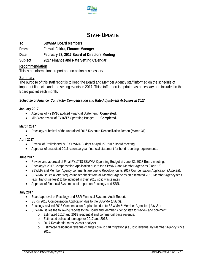

## **STAFF UPDATE**

**To: SBWMA Board Members** 

**From: Farouk Fakira, Finance Manager** 

**Date: February 23, 2017 Board of Directors Meeting** 

**Subject: 2017 Finance and Rate Setting Calendar** 

#### **Recommendation**

This is an informational report and no action is necessary.

#### **Summary**

The purpose of this staff report is to keep the Board and Member Agency staff informed on the schedule of important financial and rate setting events in 2017. This staff report is updated as necessary and included in the Board packet each month.

*Schedule of Finance, Contractor Compensation and Rate Adjustment Activities in 2017:* 

#### **January 2017**

- Approval of FY15/16 audited Financial Statement. **Completed.**
- Mid-Year review of FY16/17 Operating Budget. **Completed.**

#### **March 2017**

Recology submittal of the unaudited 2016 Revenue Reconciliation Report (March 31).

## $\bullet$

- **April 2017** 
	- Review of Preliminary17/18 SBWMA Budget at April 27, 2017 Board meeting.
	- Approval of unaudited 2016 calendar year financial statement for bond reporting requirements.

#### **June 2017**

- Review and approval of Final FY17/18 SBWMA Operating Budget at June 22, 2017 Board meeting**.**
- Recology's 2017 Compensation Application due to the SBWMA and Member Agencies (*June 15*).
- SBWMA and Member Agency comments are due to Recology on its 2017 Compensation Application (*June 28*).
- SBWMA issues a letter requesting feedback from all Member Agencies on estimated 2018 Member Agency fees (e.g., franchise fees) to be included in their 2018 solid waste rates.
- Approval of Financial Systems audit report on Recology and SBR.

#### **July 2017**

- Board approval of Recology and SBR Financial Systems Audit Report.
- SBR's 2018 Compensation Application due to the SBWMA (*July 3*).
- Recology revised 2018 Compensation Application due to SBWMA & Member Agencies (*July 21*).
- SBWMA issues the following reports to the Board and Member Agency staff for review and comment:
	- o Estimated 2017 and 2018 residential and commercial base revenue.
		- o Estimated collected tonnage for 2017 and 2018.
		- o 2017 Residential rates vs cost analysis.
		- o Estimated residential revenue changes due to cart migration (i.e., lost revenue) by Member Agency since 2016.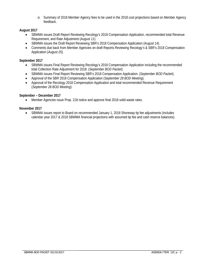o Summary of 2018 Member Agency fees to be used in the 2018 cost projections based on Member Agency feedback.

#### **August 2017**

- SBWMA issues Draft Report Reviewing Recology's 2018 Compensation Application, recommended total Revenue Requirement, and Rate Adjustment (*August 11*).
- SBWMA issues the Draft Report Reviewing SBR's 2018 Compensation Application (August 14).
- Comments due back from Member Agencies on draft Reports Reviewing Recology's & SBR's 2018 Compensation Application (*August 25*).

#### **September 2017**

- SBWMA issues Final Report Reviewing Recology's 2018 Compensation Application including the recommended total Collection Rate Adjustment for 2018. (*September BOD Packet*).
- SBWMA issues Final Report Reviewing SBR's 2018 Compensation Application. (*September BOD Packet*).
- Approval of the SBR 2018 Compensation Application (*September 28 BOD Meeting*).
- Approval of the Recology 2018 Compensation Application and total recommended Revenue Requirement (*September 28 BOD Meeting*).

#### **September – December 2017**

Member Agencies issue Prop. 218 notice and approve final 2018 solid waste rates.

#### **November 2017**

 SBWMA issues report to Board on recommended January 1, 2018 Shoreway tip fee adjustments (includes calendar year 2017 & 2018 SBWMA financial projections with assumed tip fee and cash reserve balances).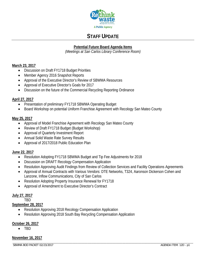

# **STAFF UPDATE**

## **Potential Future Board Agenda Items**

*(Meetings at San Carlos Library Conference Room)* 

#### **March 23, 2017**

- Discussion on Draft FY1718 Budget Priorities
- Member Agency 2016 Snapshot Reports
- Approval of the Executive Director's Review of SBWMA Resources
- Approval of Executive Director's Goals for 2017
- Discussion on the future of the Commercial Recycling Reporting Ordinance

#### **April 27, 2017**

- Presentation of preliminary FY1718 SBWMA Operating Budget
- Board Workshop on potential Uniform Franchise Agreement with Recology San Mateo County

#### **May 25, 2017**

- Approval of Model Franchise Agreement with Recology San Mateo County
- Review of Draft FY1718 Budget (Budget Workshop)
- Approval of Quarterly Investment Report
- Annual Solid Waste Rate Survey Results
- Approval of 2017/2018 Public Education Plan

#### **June 22, 2017**

- Resolution Adopting FY1718 SBWMA Budget and Tip Fee Adjustments for 2018
- Discussion on DRAFT Recology Compensation Application
- Resolution Approving Audit Findings from Review of Collection Services and Facility Operations Agreements
- Approval of Annual Contracts with Various Vendors: DTE Networks, T324, Aaronson Dickerson Cohen and Lanzone, Inflow Communications, City of San Carlos
- Resolution Adopting Property Insurance Renewal for FY1718
- Approval of Amendment to Executive Director's Contract

### **July 27, 2017**

TBD

#### **September 28, 2017**

- Resolution Approving 2018 Recology Compensation Application
- Resolution Approving 2018 South Bay Recycling Compensation Application

#### **October 26, 2017**

TBD

#### **November 16, 2017**

\_\_\_\_\_\_\_\_\_\_\_\_\_\_\_\_\_\_\_\_\_\_\_\_\_\_\_\_\_\_\_\_\_\_\_\_\_\_\_\_\_\_\_\_\_\_\_\_\_\_\_\_\_\_\_\_\_\_\_\_\_\_\_\_\_\_\_\_\_\_\_\_\_\_\_\_\_\_\_\_\_\_\_\_\_\_\_\_\_\_\_\_\_\_\_\_\_\_\_\_\_\_\_\_\_\_\_\_\_\_\_\_\_\_\_\_\_\_\_\_\_\_\_ SBWMA BOD PACKET 02/23/2017 **AGENDA ITEM:** 12D - p1